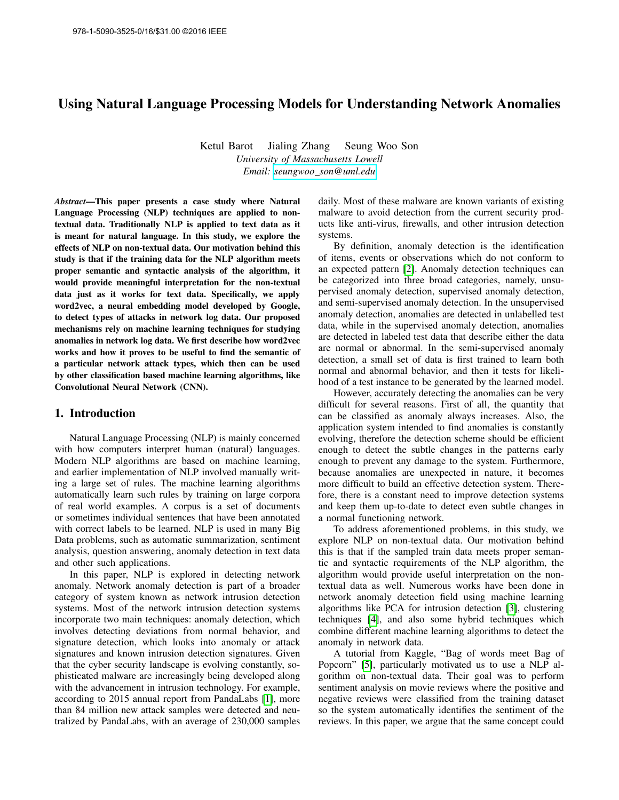# Using Natural Language Processing Models for Understanding Network Anomalies

Ketul Barot Jialing Zhang Seung Woo Son *University of Massachusetts Lowell Email: seungwoo [son@uml.edu](mailto:seungwoo_son@uml.edu)*

*Abstract*—This paper presents a case study where Natural Language Processing (NLP) techniques are applied to nontextual data. Traditionally NLP is applied to text data as it is meant for natural language. In this study, we explore the effects of NLP on non-textual data. Our motivation behind this study is that if the training data for the NLP algorithm meets proper semantic and syntactic analysis of the algorithm, it would provide meaningful interpretation for the non-textual data just as it works for text data. Specifically, we apply word2vec, a neural embedding model developed by Google, to detect types of attacks in network log data. Our proposed mechanisms rely on machine learning techniques for studying anomalies in network log data. We first describe how word2vec works and how it proves to be useful to find the semantic of a particular network attack types, which then can be used by other classification based machine learning algorithms, like Convolutional Neural Network (CNN).

### 1. Introduction

Natural Language Processing (NLP) is mainly concerned with how computers interpret human (natural) languages. Modern NLP algorithms are based on machine learning, and earlier implementation of NLP involved manually writing a large set of rules. The machine learning algorithms automatically learn such rules by training on large corpora of real world examples. A corpus is a set of documents or sometimes individual sentences that have been annotated with correct labels to be learned. NLP is used in many Big Data problems, such as automatic summarization, sentiment analysis, question answering, anomaly detection in text data and other such applications.

In this paper, NLP is explored in detecting network anomaly. Network anomaly detection is part of a broader category of system known as network intrusion detection systems. Most of the network intrusion detection systems incorporate two main techniques: anomaly detection, which involves detecting deviations from normal behavior, and signature detection, which looks into anomaly or attack signatures and known intrusion detection signatures. Given that the cyber security landscape is evolving constantly, sophisticated malware are increasingly being developed along with the advancement in intrusion technology. For example, according to 2015 annual report from PandaLabs [\[1\]](#page-6-0), more than 84 million new attack samples were detected and neutralized by PandaLabs, with an average of 230,000 samples daily. Most of these malware are known variants of existing malware to avoid detection from the current security products like anti-virus, firewalls, and other intrusion detection systems.

By definition, anomaly detection is the identification of items, events or observations which do not conform to an expected pattern [\[2\]](#page-6-1). Anomaly detection techniques can be categorized into three broad categories, namely, unsupervised anomaly detection, supervised anomaly detection, and semi-supervised anomaly detection. In the unsupervised anomaly detection, anomalies are detected in unlabelled test data, while in the supervised anomaly detection, anomalies are detected in labeled test data that describe either the data are normal or abnormal. In the semi-supervised anomaly detection, a small set of data is first trained to learn both normal and abnormal behavior, and then it tests for likelihood of a test instance to be generated by the learned model.

However, accurately detecting the anomalies can be very difficult for several reasons. First of all, the quantity that can be classified as anomaly always increases. Also, the application system intended to find anomalies is constantly evolving, therefore the detection scheme should be efficient enough to detect the subtle changes in the patterns early enough to prevent any damage to the system. Furthermore, because anomalies are unexpected in nature, it becomes more difficult to build an effective detection system. Therefore, there is a constant need to improve detection systems and keep them up-to-date to detect even subtle changes in a normal functioning network.

To address aforementioned problems, in this study, we explore NLP on non-textual data. Our motivation behind this is that if the sampled train data meets proper semantic and syntactic requirements of the NLP algorithm, the algorithm would provide useful interpretation on the nontextual data as well. Numerous works have been done in network anomaly detection field using machine learning algorithms like PCA for intrusion detection [\[3\]](#page-6-2), clustering techniques [\[4\]](#page-6-3), and also some hybrid techniques which combine different machine learning algorithms to detect the anomaly in network data.

A tutorial from Kaggle, "Bag of words meet Bag of Popcorn" [\[5\]](#page-6-4), particularly motivated us to use a NLP algorithm on non-textual data. Their goal was to perform sentiment analysis on movie reviews where the positive and negative reviews were classified from the training dataset so the system automatically identifies the sentiment of the reviews. In this paper, we argue that the same concept could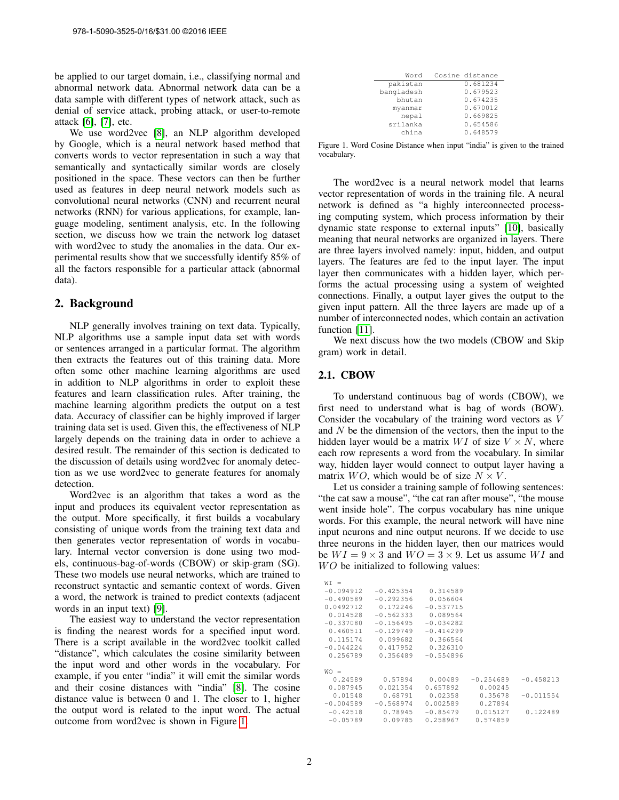be applied to our target domain, i.e., classifying normal and abnormal network data. Abnormal network data can be a data sample with different types of network attack, such as denial of service attack, probing attack, or user-to-remote attack [\[6\]](#page-6-5), [\[7\]](#page-6-6), etc.

We use word2vec [\[8\]](#page-6-7), an NLP algorithm developed by Google, which is a neural network based method that converts words to vector representation in such a way that semantically and syntactically similar words are closely positioned in the space. These vectors can then be further used as features in deep neural network models such as convolutional neural networks (CNN) and recurrent neural networks (RNN) for various applications, for example, language modeling, sentiment analysis, etc. In the following section, we discuss how we train the network log dataset with word2vec to study the anomalies in the data. Our experimental results show that we successfully identify 85% of all the factors responsible for a particular attack (abnormal data).

### 2. Background

NLP generally involves training on text data. Typically, NLP algorithms use a sample input data set with words or sentences arranged in a particular format. The algorithm then extracts the features out of this training data. More often some other machine learning algorithms are used in addition to NLP algorithms in order to exploit these features and learn classification rules. After training, the machine learning algorithm predicts the output on a test data. Accuracy of classifier can be highly improved if larger training data set is used. Given this, the effectiveness of NLP largely depends on the training data in order to achieve a desired result. The remainder of this section is dedicated to the discussion of details using word2vec for anomaly detection as we use word2vec to generate features for anomaly detection.

Word2vec is an algorithm that takes a word as the input and produces its equivalent vector representation as the output. More specifically, it first builds a vocabulary consisting of unique words from the training text data and then generates vector representation of words in vocabulary. Internal vector conversion is done using two models, continuous-bag-of-words (CBOW) or skip-gram (SG). These two models use neural networks, which are trained to reconstruct syntactic and semantic context of words. Given a word, the network is trained to predict contexts (adjacent words in an input text) [\[9\]](#page-6-8).

The easiest way to understand the vector representation is finding the nearest words for a specified input word. There is a script available in the word2vec toolkit called "distance", which calculates the cosine similarity between the input word and other words in the vocabulary. For example, if you enter "india" it will emit the similar words and their cosine distances with "india" [\[8\]](#page-6-7). The cosine distance value is between 0 and 1. The closer to 1, higher the output word is related to the input word. The actual outcome from word2vec is shown in Figure [1.](#page-1-0)

| Word       | Cosine distance |
|------------|-----------------|
| pakistan   | 0.681234        |
| bangladesh | 0.679523        |
| bhutan     | 0.674235        |
| myanmar    | 0.670012        |
| nepal      | 0.669825        |
| srilanka   | 0.654586        |
| china      | 0.648579        |
|            |                 |

<span id="page-1-0"></span>Figure 1. Word Cosine Distance when input "india" is given to the trained vocabulary.

The word2vec is a neural network model that learns vector representation of words in the training file. A neural network is defined as "a highly interconnected processing computing system, which process information by their dynamic state response to external inputs" [\[10\]](#page-6-9), basically meaning that neural networks are organized in layers. There are three layers involved namely: input, hidden, and output layers. The features are fed to the input layer. The input layer then communicates with a hidden layer, which performs the actual processing using a system of weighted connections. Finally, a output layer gives the output to the given input pattern. All the three layers are made up of a number of interconnected nodes, which contain an activation function [\[11\]](#page-6-10).

We next discuss how the two models (CBOW and Skip gram) work in detail.

#### 2.1. CBOW

To understand continuous bag of words (CBOW), we first need to understand what is bag of words (BOW). Consider the vocabulary of the training word vectors as V and  $N$  be the dimension of the vectors, then the input to the hidden layer would be a matrix  $WI$  of size  $V \times N$ , where each row represents a word from the vocabulary. In similar way, hidden layer would connect to output layer having a matrix  $WO$ , which would be of size  $N \times V$ .

Let us consider a training sample of following sentences: "the cat saw a mouse", "the cat ran after mouse", "the mouse went inside hole". The corpus vocabulary has nine unique words. For this example, the neural network will have nine input neurons and nine output neurons. If we decide to use three neurons in the hidden layer, then our matrices would be  $WI = 9 \times 3$  and  $WO = 3 \times 9$ . Let us assume WI and  $WO$  be initialized to following values:

| $WT =$      |             |             |             |             |
|-------------|-------------|-------------|-------------|-------------|
| $-0.094912$ | $-0.425354$ | 0.314589    |             |             |
| $-0.490589$ | $-0.292356$ | 0.056604    |             |             |
| 0.0492712   | 0.172246    | $-0.537715$ |             |             |
| 0.014528    | $-0.562333$ | 0.089564    |             |             |
| $-0.337080$ | $-0.156495$ | $-0.034282$ |             |             |
| 0.460511    | $-0.129749$ | $-0.414299$ |             |             |
| 0.115174    | 0.099682    | 0.366564    |             |             |
| $-0.044224$ | 0.417952    | 0.326310    |             |             |
| 0.256789    | 0.356489    | $-0.554896$ |             |             |
|             |             |             |             |             |
| $WO =$      |             |             |             |             |
| 0.24589     | 0.57894     | 0.00489     | $-0.254689$ | $-0.458213$ |
| 0.087945    | 0.021354    | 0.657892    | 0.00245     |             |
| 0.01548     | 0.68791     | 0.02358     | 0.35678     | $-0.011554$ |
| $-0.004589$ | $-0.568974$ | 0.002589    | 0.27894     |             |
| $-0.42518$  | 0.78945     | $-0.85479$  | 0.015127    | 0.122489    |
| $-0.05789$  | 0.09785     | 0.258967    | 0.574859    |             |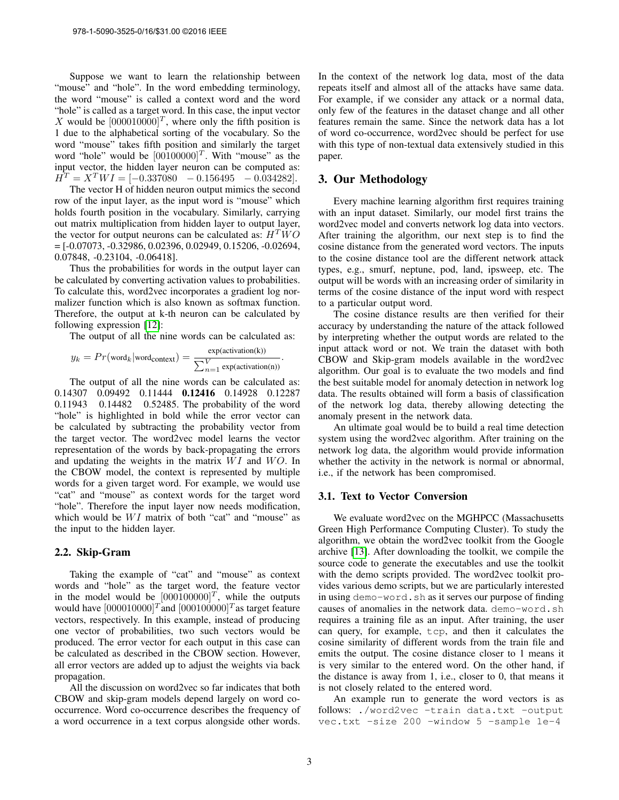Suppose we want to learn the relationship between "mouse" and "hole". In the word embedding terminology, the word "mouse" is called a context word and the word "hole" is called as a target word. In this case, the input vector X would be  $[000010000]^T$ , where only the fifth position is 1 due to the alphabetical sorting of the vocabulary. So the word "mouse" takes fifth position and similarly the target word "hole" would be  $[00100000]^T$ . With "mouse" as the input vector, the hidden layer neuron can be computed as:  $\hat{H}^T = X^T W I = [-0.337080 \ -0.156495 \ -0.034282].$ 

The vector H of hidden neuron output mimics the second row of the input layer, as the input word is "mouse" which holds fourth position in the vocabulary. Similarly, carrying out matrix multiplication from hidden layer to output layer, the vector for output neurons can be calculated as:  $H^T W O$ = [-0.07073, -0.32986, 0.02396, 0.02949, 0.15206, -0.02694, 0.07848, -0.23104, -0.06418].

Thus the probabilities for words in the output layer can be calculated by converting activation values to probabilities. To calculate this, word2vec incorporates a gradient log normalizer function which is also known as softmax function. Therefore, the output at k-th neuron can be calculated by following expression [\[12\]](#page-6-11):

The output of all the nine words can be calculated as:

.

$$
y_k = Pr(\text{word}_k | \text{word}_\text{context}) = \frac{\text{exp}(\text{activation}(k))}{\sum_{n=1}^{V} \text{exp}(\text{activation}(n))}
$$

The output of all the nine words can be calculated as: 0.14307 0.09492 0.11444 0.12416 0.14928 0.12287 0.11943 0.14482 0.52485. The probability of the word "hole" is highlighted in bold while the error vector can be calculated by subtracting the probability vector from the target vector. The word2vec model learns the vector representation of the words by back-propagating the errors and updating the weights in the matrix  $WI$  and  $WO$ . In the CBOW model, the context is represented by multiple words for a given target word. For example, we would use "cat" and "mouse" as context words for the target word "hole". Therefore the input layer now needs modification, which would be  $WI$  matrix of both "cat" and "mouse" as the input to the hidden layer.

#### 2.2. Skip-Gram

Taking the example of "cat" and "mouse" as context words and "hole" as the target word, the feature vector in the model would be  $[000100000]^T$ , while the outputs would have  $[000010000]^T$  and  $[000100000]^T$  as target feature vectors, respectively. In this example, instead of producing one vector of probabilities, two such vectors would be produced. The error vector for each output in this case can be calculated as described in the CBOW section. However, all error vectors are added up to adjust the weights via back propagation.

All the discussion on word2vec so far indicates that both CBOW and skip-gram models depend largely on word cooccurrence. Word co-occurrence describes the frequency of a word occurrence in a text corpus alongside other words. In the context of the network log data, most of the data repeats itself and almost all of the attacks have same data. For example, if we consider any attack or a normal data, only few of the features in the dataset change and all other features remain the same. Since the network data has a lot of word co-occurrence, word2vec should be perfect for use with this type of non-textual data extensively studied in this paper.

## 3. Our Methodology

Every machine learning algorithm first requires training with an input dataset. Similarly, our model first trains the word2vec model and converts network log data into vectors. After training the algorithm, our next step is to find the cosine distance from the generated word vectors. The inputs to the cosine distance tool are the different network attack types, e.g., smurf, neptune, pod, land, ipsweep, etc. The output will be words with an increasing order of similarity in terms of the cosine distance of the input word with respect to a particular output word.

The cosine distance results are then verified for their accuracy by understanding the nature of the attack followed by interpreting whether the output words are related to the input attack word or not. We train the dataset with both CBOW and Skip-gram models available in the word2vec algorithm. Our goal is to evaluate the two models and find the best suitable model for anomaly detection in network log data. The results obtained will form a basis of classification of the network log data, thereby allowing detecting the anomaly present in the network data.

An ultimate goal would be to build a real time detection system using the word2vec algorithm. After training on the network log data, the algorithm would provide information whether the activity in the network is normal or abnormal, i.e., if the network has been compromised.

#### 3.1. Text to Vector Conversion

We evaluate word2vec on the MGHPCC (Massachusetts Green High Performance Computing Cluster). To study the algorithm, we obtain the word2vec toolkit from the Google archive [\[13\]](#page-6-12). After downloading the toolkit, we compile the source code to generate the executables and use the toolkit with the demo scripts provided. The word2vec toolkit provides various demo scripts, but we are particularly interested in using demo-word.sh as it serves our purpose of finding causes of anomalies in the network data. demo-word.sh requires a training file as an input. After training, the user can query, for example, tcp, and then it calculates the cosine similarity of different words from the train file and emits the output. The cosine distance closer to 1 means it is very similar to the entered word. On the other hand, if the distance is away from 1, i.e., closer to 0, that means it is not closely related to the entered word.

An example run to generate the word vectors is as follows: ./word2vec -train data.txt -output vec.txt -size 200 -window 5 -sample 1e-4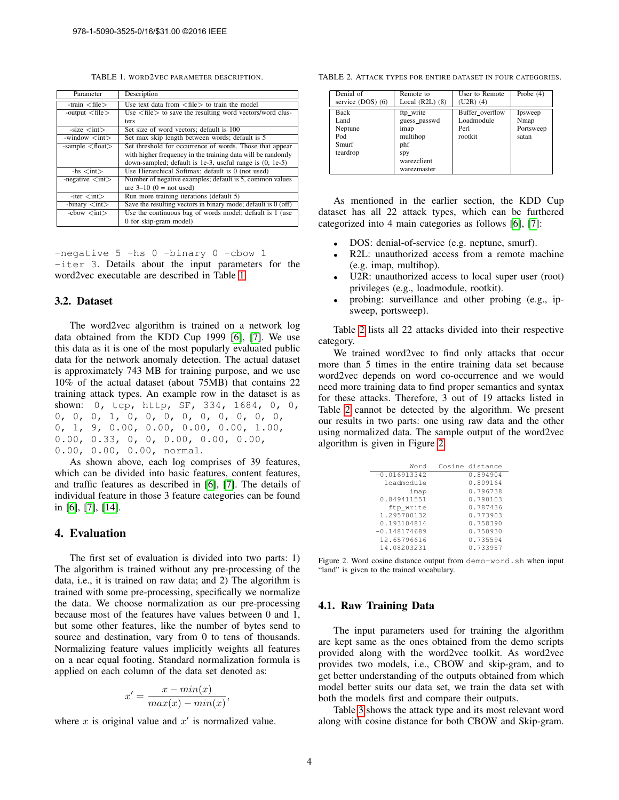<span id="page-3-0"></span>TABLE 1. WORD2VEC PARAMETER DESCRIPTION.

| Parameter                              | Description                                                                |
|----------------------------------------|----------------------------------------------------------------------------|
| -train $\langle$ file $\rangle$        | Use text data from $\langle$ file $\rangle$ to train the model             |
| -output $\langle$ file $\rangle$       | Use $\langle$ file $\rangle$ to save the resulting word vectors/word clus- |
|                                        | ters                                                                       |
| $-size int$                            | Set size of word vectors; default is 100                                   |
| -window $\langle int \rangle$          | Set max skip length between words; default is 5                            |
| -sample $<$ float $>$                  | Set threshold for occurrence of words. Those that appear                   |
|                                        | with higher frequency in the training data will be randomly                |
|                                        | down-sampled; default is 1e-3, useful range is $(0, 1e-5)$                 |
| $-$ hs $\langle$ int $\rangle$         | Use Hierarchical Softmax; default is 0 (not used)                          |
| -negative $\langle \text{int} \rangle$ | Number of negative examples; default is 5, common values                   |
|                                        | are $3-10$ (0 = not used)                                                  |
| $-iter int$                            | Run more training iterations (default 5)                                   |
| $-binary <$ int $>$                    | Save the resulting vectors in binary mode; default is $0$ (off)            |
| $-cbow < int$                          | Use the continuous bag of words model; default is 1 (use                   |
|                                        | 0 for skip-gram model)                                                     |

-negative 5 -hs 0 -binary 0 -cbow 1 -iter 3. Details about the input parameters for the word2vec executable are described in Table [1.](#page-3-0)

#### 3.2. Dataset

The word2vec algorithm is trained on a network log data obtained from the KDD Cup 1999 [\[6\]](#page-6-5), [\[7\]](#page-6-6). We use this data as it is one of the most popularly evaluated public data for the network anomaly detection. The actual dataset is approximately 743 MB for training purpose, and we use 10% of the actual dataset (about 75MB) that contains 22 training attack types. An example row in the dataset is as shown: 0, tcp, http, SF, 334, 1684, 0, 0, 0, 0, 0, 1, 0, 0, 0, 0, 0, 0, 0, 0, 0, 0, 1, 9, 0.00, 0.00, 0.00, 0.00, 1.00, 0.00, 0.33, 0, 0, 0.00, 0.00, 0.00, 0.00, 0.00, 0.00, normal.

As shown above, each log comprises of 39 features, which can be divided into basic features, content features, and traffic features as described in [\[6\]](#page-6-5), [\[7\]](#page-6-6). The details of individual feature in those 3 feature categories can be found in [\[6\]](#page-6-5), [\[7\]](#page-6-6), [\[14\]](#page-6-13).

# 4. Evaluation

The first set of evaluation is divided into two parts: 1) The algorithm is trained without any pre-processing of the data, i.e., it is trained on raw data; and 2) The algorithm is trained with some pre-processing, specifically we normalize the data. We choose normalization as our pre-processing because most of the features have values between 0 and 1, but some other features, like the number of bytes send to source and destination, vary from 0 to tens of thousands. Normalizing feature values implicitly weights all features on a near equal footing. Standard normalization formula is applied on each column of the data set denoted as:

$$
x' = \frac{x - min(x)}{max(x) - min(x)},
$$

where  $x$  is original value and  $x'$  is normalized value.

TABLE 2. ATTACK TYPES FOR ENTIRE DATASET IN FOUR CATEGORIES.

<span id="page-3-1"></span>

| Denial of                                           | Remote to                                                                                 | User to Remote                                   | Probe $(4)$                           |
|-----------------------------------------------------|-------------------------------------------------------------------------------------------|--------------------------------------------------|---------------------------------------|
| service (DOS) (6)                                   | Local $(R2L)$ $(8)$                                                                       | $(U2R)$ (4)                                      |                                       |
| Back<br>Land<br>Neptune<br>Pod<br>Smurf<br>teardrop | ftp write<br>guess passwd<br>imap<br>multihop<br>phf<br>Spy<br>warezclient<br>warezmaster | Buffer overflow<br>Loadmodule<br>Perl<br>rootkit | Ipsweep<br>Nmap<br>Portsweep<br>satan |

As mentioned in the earlier section, the KDD Cup dataset has all 22 attack types, which can be furthered categorized into 4 main categories as follows [\[6\]](#page-6-5), [\[7\]](#page-6-6):

- DOS: denial-of-service (e.g. neptune, smurf).
- R2L: unauthorized access from a remote machine (e.g. imap, multihop).
- U2R: unauthorized access to local super user (root) privileges (e.g., loadmodule, rootkit).
- probing: surveillance and other probing (e.g., ipsweep, portsweep).

Table [2](#page-3-1) lists all 22 attacks divided into their respective category.

We trained word2vec to find only attacks that occur more than 5 times in the entire training data set because word2vec depends on word co-occurrence and we would need more training data to find proper semantics and syntax for these attacks. Therefore, 3 out of 19 attacks listed in Table [2](#page-3-1) cannot be detected by the algorithm. We present our results in two parts: one using raw data and the other using normalized data. The sample output of the word2vec algorithm is given in Figure [2.](#page-3-2)

| Word           | Cosine distance |
|----------------|-----------------|
| $-0.016913342$ | 0.894904        |
| loadmodule     | 0.809164        |
| imap           | 0.796738        |
| 0.849411551    | 0.790103        |
| ftp write      | 0.787436        |
| 1.295700132    | 0.773903        |
| 0.193104814    | 0.758390        |
| $-0.148174689$ | 0.750930        |
| 12.65796616    | 0.735594        |
| 14.08203231    | 0.733957        |

<span id="page-3-2"></span>Figure 2. Word cosine distance output from demo-word.sh when input "land" is given to the trained vocabulary.

### 4.1. Raw Training Data

The input parameters used for training the algorithm are kept same as the ones obtained from the demo scripts provided along with the word2vec toolkit. As word2vec provides two models, i.e., CBOW and skip-gram, and to get better understanding of the outputs obtained from which model better suits our data set, we train the data set with both the models first and compare their outputs.

Table [3](#page-4-0) shows the attack type and its most relevant word along with cosine distance for both CBOW and Skip-gram.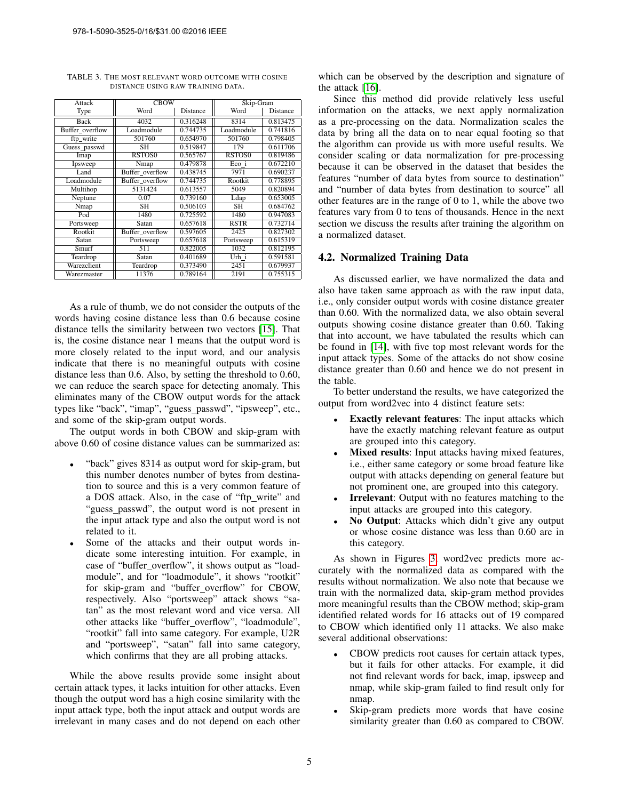| Attack          | <b>CBOW</b>     |          | Skip-Gram   |          |
|-----------------|-----------------|----------|-------------|----------|
| Type            | Word            | Distance | Word        | Distance |
| <b>Back</b>     | 4032            | 0.316248 | 8314        | 0.813475 |
| Buffer overflow | Loadmodule      | 0.744735 | Loadmodule  | 0.741816 |
| ftp write       | 501760          | 0.654970 | 501760      | 0.798405 |
| Guess_passwd    | SН              | 0.519847 | 179         | 0.611706 |
| Imap            | RSTOS0          | 0.565767 | RSTOS0      | 0.819486 |
| Ipsweep         | Nmap            | 0.479878 | Eco i       | 0.672210 |
| Land            | Buffer overflow | 0.438745 | 7971        | 0.690237 |
| Loadmodule      | Buffer overflow | 0.744735 | Rootkit     | 0.778895 |
| Multihop        | 5131424         | 0.613557 | 5049        | 0.820894 |
| Neptune         | 0.07            | 0.739160 | Ldap        | 0.653005 |
| Nmap            | <b>SH</b>       | 0.506103 | <b>SH</b>   | 0.684762 |
| Pod             | 1480            | 0.725592 | 1480        | 0.947083 |
| Portsweep       | Satan           | 0.657618 | <b>RSTR</b> | 0.732714 |
| Rootkit         | Buffer overflow | 0.597605 | 2425        | 0.827302 |
| Satan           | Portsweep       | 0.657618 | Portsweep   | 0.615319 |
| Smurf           | 511             | 0.822005 | 1032        | 0.812195 |
| Teardrop        | Satan           | 0.401689 | Urh i       | 0.591581 |
| Warezclient     | Teardrop        | 0.373490 | 2451        | 0.679937 |
| Warezmaster     | 11376           | 0.789164 | 2191        | 0.755315 |

<span id="page-4-0"></span>TABLE 3. THE MOST RELEVANT WORD OUTCOME WITH COSINE DISTANCE USING RAW TRAINING DATA.

As a rule of thumb, we do not consider the outputs of the words having cosine distance less than 0.6 because cosine distance tells the similarity between two vectors [\[15\]](#page-6-14). That is, the cosine distance near 1 means that the output word is more closely related to the input word, and our analysis indicate that there is no meaningful outputs with cosine distance less than 0.6. Also, by setting the threshold to 0.60, we can reduce the search space for detecting anomaly. This eliminates many of the CBOW output words for the attack types like "back", "imap", "guess passwd", "ipsweep", etc., and some of the skip-gram output words.

The output words in both CBOW and skip-gram with above 0.60 of cosine distance values can be summarized as:

- "back" gives 8314 as output word for skip-gram, but this number denotes number of bytes from destination to source and this is a very common feature of a DOS attack. Also, in the case of "ftp write" and "guess passwd", the output word is not present in the input attack type and also the output word is not related to it.
- Some of the attacks and their output words indicate some interesting intuition. For example, in case of "buffer\_overflow", it shows output as "loadmodule", and for "loadmodule", it shows "rootkit" for skip-gram and "buffer overflow" for CBOW, respectively. Also "portsweep" attack shows "satan" as the most relevant word and vice versa. All other attacks like "buffer overflow", "loadmodule", "rootkit" fall into same category. For example, U2R and "portsweep", "satan" fall into same category, which confirms that they are all probing attacks.

While the above results provide some insight about certain attack types, it lacks intuition for other attacks. Even though the output word has a high cosine similarity with the input attack type, both the input attack and output words are irrelevant in many cases and do not depend on each other

which can be observed by the description and signature of the attack [\[16\]](#page-6-15).

Since this method did provide relatively less useful information on the attacks, we next apply normalization as a pre-processing on the data. Normalization scales the data by bring all the data on to near equal footing so that the algorithm can provide us with more useful results. We consider scaling or data normalization for pre-processing because it can be observed in the dataset that besides the features "number of data bytes from source to destination" and "number of data bytes from destination to source" all other features are in the range of 0 to 1, while the above two features vary from 0 to tens of thousands. Hence in the next section we discuss the results after training the algorithm on a normalized dataset.

#### 4.2. Normalized Training Data

As discussed earlier, we have normalized the data and also have taken same approach as with the raw input data, i.e., only consider output words with cosine distance greater than 0.60. With the normalized data, we also obtain several outputs showing cosine distance greater than 0.60. Taking that into account, we have tabulated the results which can be found in [\[14\]](#page-6-13), with five top most relevant words for the input attack types. Some of the attacks do not show cosine distance greater than 0.60 and hence we do not present in the table.

To better understand the results, we have categorized the output from word2vec into 4 distinct feature sets:

- **Exactly relevant features:** The input attacks which have the exactly matching relevant feature as output are grouped into this category.
- **Mixed results:** Input attacks having mixed features, i.e., either same category or some broad feature like output with attacks depending on general feature but not prominent one, are grouped into this category.
- **Irrelevant:** Output with no features matching to the input attacks are grouped into this category.
- No Output: Attacks which didn't give any output or whose cosine distance was less than 0.60 are in this category.

As shown in Figures [3,](#page-5-0) word2vec predicts more accurately with the normalized data as compared with the results without normalization. We also note that because we train with the normalized data, skip-gram method provides more meaningful results than the CBOW method; skip-gram identified related words for 16 attacks out of 19 compared to CBOW which identified only 11 attacks. We also make several additional observations:

- CBOW predicts root causes for certain attack types, but it fails for other attacks. For example, it did not find relevant words for back, imap, ipsweep and nmap, while skip-gram failed to find result only for nmap.
- Skip-gram predicts more words that have cosine similarity greater than 0.60 as compared to CBOW.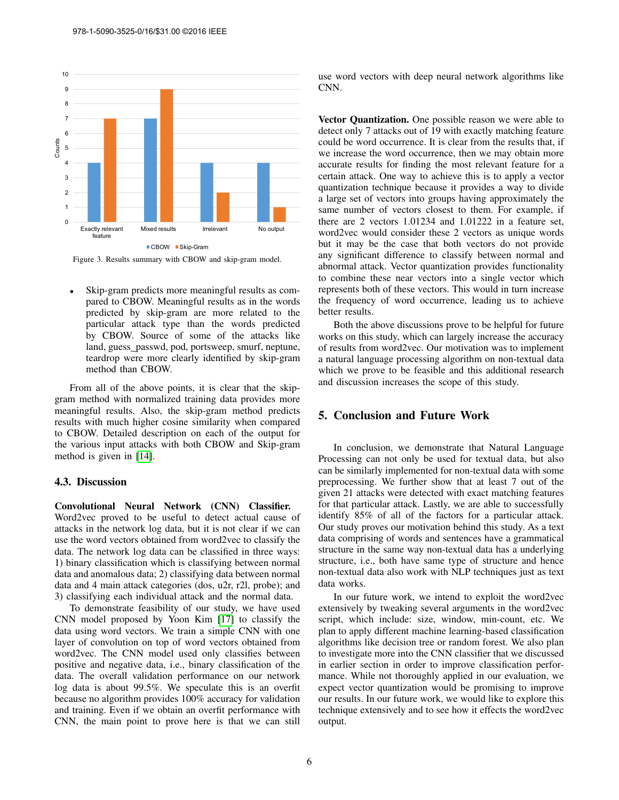

<span id="page-5-0"></span>Skip-gram predicts more meaningful results as compared to CBOW. Meaningful results as in the words predicted by skip-gram are more related to the particular attack type than the words predicted by CBOW. Source of some of the attacks like land, guess passwd, pod, portsweep, smurf, neptune, teardrop were more clearly identified by skip-gram method than CBOW.

From all of the above points, it is clear that the skipgram method with normalized training data provides more meaningful results. Also, the skip-gram method predicts results with much higher cosine similarity when compared to CBOW. Detailed description on each of the output for the various input attacks with both CBOW and Skip-gram method is given in [\[14\]](#page-6-13).

### 4.3. Discussion

Convolutional Neural Network (CNN) Classifier. Word2vec proved to be useful to detect actual cause of attacks in the network log data, but it is not clear if we can use the word vectors obtained from word2vec to classify the data. The network log data can be classified in three ways: 1) binary classification which is classifying between normal data and anomalous data; 2) classifying data between normal data and 4 main attack categories (dos, u2r, r2l, probe); and 3) classifying each individual attack and the normal data.

To demonstrate feasibility of our study, we have used CNN model proposed by Yoon Kim [\[17\]](#page-6-16) to classify the data using word vectors. We train a simple CNN with one layer of convolution on top of word vectors obtained from word2vec. The CNN model used only classifies between positive and negative data, i.e., binary classification of the data. The overall validation performance on our network log data is about 99.5%. We speculate this is an overfit because no algorithm provides 100% accuracy for validation and training. Even if we obtain an overfit performance with CNN, the main point to prove here is that we can still use word vectors with deep neural network algorithms like CNN.

Vector Quantization. One possible reason we were able to detect only 7 attacks out of 19 with exactly matching feature could be word occurrence. It is clear from the results that, if we increase the word occurrence, then we may obtain more accurate results for finding the most relevant feature for a certain attack. One way to achieve this is to apply a vector quantization technique because it provides a way to divide a large set of vectors into groups having approximately the same number of vectors closest to them. For example, if there are 2 vectors 1.01234 and 1.01222 in a feature set, word2vec would consider these 2 vectors as unique words but it may be the case that both vectors do not provide any significant difference to classify between normal and abnormal attack. Vector quantization provides functionality to combine these near vectors into a single vector which represents both of these vectors. This would in turn increase the frequency of word occurrence, leading us to achieve better results.

Both the above discussions prove to be helpful for future works on this study, which can largely increase the accuracy of results from word2vec. Our motivation was to implement a natural language processing algorithm on non-textual data which we prove to be feasible and this additional research and discussion increases the scope of this study.

# 5. Conclusion and Future Work

In conclusion, we demonstrate that Natural Language Processing can not only be used for textual data, but also can be similarly implemented for non-textual data with some preprocessing. We further show that at least 7 out of the given 21 attacks were detected with exact matching features for that particular attack. Lastly, we are able to successfully identify 85% of all of the factors for a particular attack. Our study proves our motivation behind this study. As a text data comprising of words and sentences have a grammatical structure in the same way non-textual data has a underlying structure, i.e., both have same type of structure and hence non-textual data also work with NLP techniques just as text data works.

In our future work, we intend to exploit the word2vec extensively by tweaking several arguments in the word2vec script, which include: size, window, min-count, etc. We plan to apply different machine learning-based classification algorithms like decision tree or random forest. We also plan to investigate more into the CNN classifier that we discussed in earlier section in order to improve classification performance. While not thoroughly applied in our evaluation, we expect vector quantization would be promising to improve our results. In our future work, we would like to explore this technique extensively and to see how it effects the word2vec output.